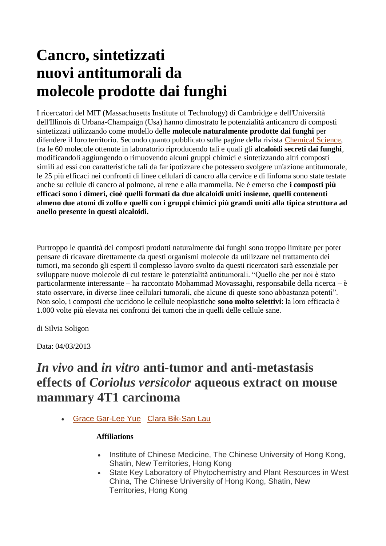# **Cancro, sintetizzati nuovi antitumorali da molecole prodotte dai funghi**

I ricercatori del MIT (Massachusetts Institute of Technology) di Cambridge e dell'Università dell'Illinois di Urbana-Champaign (Usa) hanno dimostrato le potenzialità anticancro di composti sintetizzati utilizzando come modello delle **molecole naturalmente prodotte dai funghi** per difendere il loro territorio. Secondo quanto pubblicato sulle pagine della rivista [Chemical Science,](http://pubs.rsc.org/en/content/articlelanding/2013/sc/c3sc50174d) fra le 60 molecole ottenute in laboratorio riproducendo tali e quali gli **alcaloidi secreti dai funghi**, modificandoli aggiungendo o rimuovendo alcuni gruppi chimici e sintetizzando altri composti simili ad essi con caratteristiche tali da far ipotizzare che potessero svolgere un'azione antitumorale, le 25 più efficaci nei confronti di linee cellulari di cancro alla cervice e di linfoma sono state testate anche su cellule di cancro al polmone, al rene e alla mammella. Ne è emerso che **i composti più efficaci sono i dimeri, cioè quelli formati da due alcaloidi uniti insieme, quelli contenenti almeno due atomi di zolfo e quelli con i gruppi chimici più grandi uniti alla tipica struttura ad anello presente in questi alcaloidi.**

Purtroppo le quantità dei composti prodotti naturalmente dai funghi sono troppo limitate per poter pensare di ricavare direttamente da questi organismi molecole da utilizzare nel trattamento dei tumori, ma secondo gli esperti il complesso lavoro svolto da questi ricercatori sarà essenziale per sviluppare nuove molecole di cui testare le potenzialità antitumorali. "Quello che per noi è stato particolarmente interessante – ha raccontato Mohammad Movassaghi, responsabile della ricerca – è stato osservare, in diverse linee cellulari tumorali, che alcune di queste sono abbastanza potenti". Non solo, i composti che uccidono le cellule neoplastiche **sono molto selettivi**: la loro efficacia è 1.000 volte più elevata nei confronti dei tumori che in quelli delle cellule sane.

di Silvia Soligon

Data: 04/03/2013

## *In vivo* **and** *in vitro* **anti-tumor and anti-metastasis effects of** *Coriolus versicolor* **aqueous extract on mouse mammary 4T1 carcinoma**

[Grace Gar-Lee](http://www.phytomedicinejournal.com/article/S0944-7113(14)00204-9/abstract##) Yue [Clara Bik-San](http://www.phytomedicinejournal.com/article/S0944-7113(14)00204-9/abstract##) Lau

#### **Affiliations**

- Institute of Chinese Medicine, The Chinese University of Hong Kong, Shatin, New Territories, Hong Kong
- State Key Laboratory of Phytochemistry and Plant Resources in West China, The Chinese University of Hong Kong, Shatin, New Territories, Hong Kong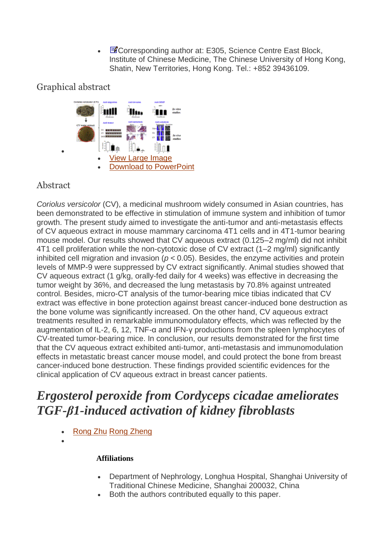**E**Corresponding author at: E305, Science Centre East Block, Institute of Chinese Medicine, The Chinese University of Hong Kong, Shatin, New Territories, Hong Kong. Tel.: +852 39436109.

### Graphical abstract



### Abstract

 $\bullet$ 

*Coriolus versicolor* (CV), a medicinal mushroom widely consumed in Asian countries, has been demonstrated to be effective in stimulation of immune system and inhibition of tumor growth. The present study aimed to investigate the anti-tumor and anti-metastasis effects of CV aqueous extract in mouse mammary carcinoma 4T1 cells and in 4T1-tumor bearing mouse model. Our results showed that CV aqueous extract (0.125–2 mg/ml) did not inhibit 4T1 cell proliferation while the non-cytotoxic dose of CV extract (1–2 mg/ml) significantly inhibited cell migration and invasion ( $p < 0.05$ ). Besides, the enzyme activities and protein levels of MMP-9 were suppressed by CV extract significantly. Animal studies showed that CV aqueous extract (1 g/kg, orally-fed daily for 4 weeks) was effective in decreasing the tumor weight by 36%, and decreased the lung metastasis by 70.8% against untreated control. Besides, micro-CT analysis of the tumor-bearing mice tibias indicated that CV extract was effective in bone protection against breast cancer-induced bone destruction as the bone volume was significantly increased. On the other hand, CV aqueous extract treatments resulted in remarkable immunomodulatory effects, which was reflected by the augmentation of IL-2, 6, 12, TNF-α and IFN-γ productions from the spleen lymphocytes of CV-treated tumor-bearing mice. In conclusion, our results demonstrated for the first time that the CV aqueous extract exhibited anti-tumor, anti-metastasis and immunomodulation effects in metastatic breast cancer mouse model, and could protect the bone from breast cancer-induced bone destruction. These findings provided scientific evidences for the clinical application of CV aqueous extract in breast cancer patients.

# *Ergosterol peroxide from Cordyceps cicadae ameliorates TGF-β1-induced activation of kidney fibroblasts*

- [Rong](http://www.phytomedicinejournal.com/article/S0944-7113(13)00325-5/abstract?elsca1=etoc&elsca2=email&elsca3=0944-7113_20140215_21_3&elsca4=elsevier_gmbh##) Zhu Rong [Zheng](http://www.phytomedicinejournal.com/article/S0944-7113(13)00325-5/abstract?elsca1=etoc&elsca2=email&elsca3=0944-7113_20140215_21_3&elsca4=elsevier_gmbh##)
- $\bullet$

#### **Affiliations**

- Department of Nephrology, Longhua Hospital, Shanghai University of Traditional Chinese Medicine, Shanghai 200032, China
- Both the authors contributed equally to this paper.